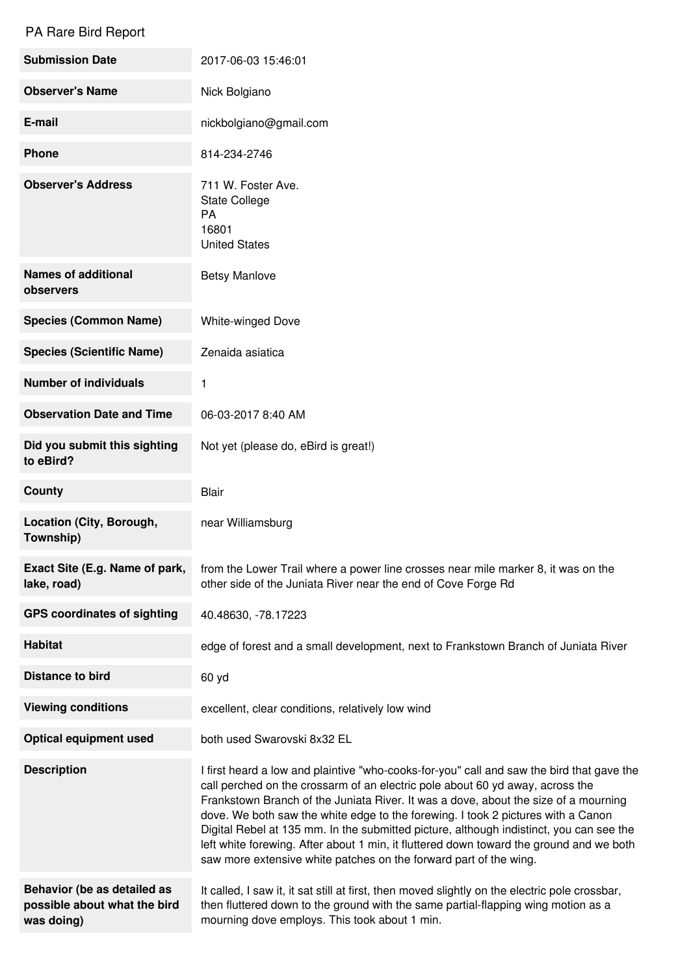## PA Rare Bird Report

| <b>Submission Date</b>                                                    | 2017-06-03 15:46:01                                                                                                                                                                                                                                                                                                                                                                                                                                                                                                                                                                                              |
|---------------------------------------------------------------------------|------------------------------------------------------------------------------------------------------------------------------------------------------------------------------------------------------------------------------------------------------------------------------------------------------------------------------------------------------------------------------------------------------------------------------------------------------------------------------------------------------------------------------------------------------------------------------------------------------------------|
| <b>Observer's Name</b>                                                    | Nick Bolgiano                                                                                                                                                                                                                                                                                                                                                                                                                                                                                                                                                                                                    |
| E-mail                                                                    | nickbolgiano@gmail.com                                                                                                                                                                                                                                                                                                                                                                                                                                                                                                                                                                                           |
| <b>Phone</b>                                                              | 814-234-2746                                                                                                                                                                                                                                                                                                                                                                                                                                                                                                                                                                                                     |
| <b>Observer's Address</b>                                                 | 711 W. Foster Ave.<br><b>State College</b><br>PA<br>16801<br><b>United States</b>                                                                                                                                                                                                                                                                                                                                                                                                                                                                                                                                |
| <b>Names of additional</b><br>observers                                   | <b>Betsy Manlove</b>                                                                                                                                                                                                                                                                                                                                                                                                                                                                                                                                                                                             |
| <b>Species (Common Name)</b>                                              | <b>White-winged Dove</b>                                                                                                                                                                                                                                                                                                                                                                                                                                                                                                                                                                                         |
| <b>Species (Scientific Name)</b>                                          | Zenaida asiatica                                                                                                                                                                                                                                                                                                                                                                                                                                                                                                                                                                                                 |
| <b>Number of individuals</b>                                              | 1                                                                                                                                                                                                                                                                                                                                                                                                                                                                                                                                                                                                                |
| <b>Observation Date and Time</b>                                          | 06-03-2017 8:40 AM                                                                                                                                                                                                                                                                                                                                                                                                                                                                                                                                                                                               |
| Did you submit this sighting<br>to eBird?                                 | Not yet (please do, eBird is great!)                                                                                                                                                                                                                                                                                                                                                                                                                                                                                                                                                                             |
| <b>County</b>                                                             | <b>Blair</b>                                                                                                                                                                                                                                                                                                                                                                                                                                                                                                                                                                                                     |
| Location (City, Borough,<br>Township)                                     | near Williamsburg                                                                                                                                                                                                                                                                                                                                                                                                                                                                                                                                                                                                |
| Exact Site (E.g. Name of park,<br>lake, road)                             | from the Lower Trail where a power line crosses near mile marker 8, it was on the<br>other side of the Juniata River near the end of Cove Forge Rd                                                                                                                                                                                                                                                                                                                                                                                                                                                               |
| <b>GPS coordinates of sighting</b>                                        | 40.48630, -78.17223                                                                                                                                                                                                                                                                                                                                                                                                                                                                                                                                                                                              |
| <b>Habitat</b>                                                            | edge of forest and a small development, next to Frankstown Branch of Juniata River                                                                                                                                                                                                                                                                                                                                                                                                                                                                                                                               |
| <b>Distance to bird</b>                                                   | 60 yd                                                                                                                                                                                                                                                                                                                                                                                                                                                                                                                                                                                                            |
| <b>Viewing conditions</b>                                                 | excellent, clear conditions, relatively low wind                                                                                                                                                                                                                                                                                                                                                                                                                                                                                                                                                                 |
| <b>Optical equipment used</b>                                             | both used Swarovski 8x32 EL                                                                                                                                                                                                                                                                                                                                                                                                                                                                                                                                                                                      |
| <b>Description</b>                                                        | I first heard a low and plaintive "who-cooks-for-you" call and saw the bird that gave the<br>call perched on the crossarm of an electric pole about 60 yd away, across the<br>Frankstown Branch of the Juniata River. It was a dove, about the size of a mourning<br>dove. We both saw the white edge to the forewing. I took 2 pictures with a Canon<br>Digital Rebel at 135 mm. In the submitted picture, although indistinct, you can see the<br>left white forewing. After about 1 min, it fluttered down toward the ground and we both<br>saw more extensive white patches on the forward part of the wing. |
| Behavior (be as detailed as<br>possible about what the bird<br>was doing) | It called, I saw it, it sat still at first, then moved slightly on the electric pole crossbar,<br>then fluttered down to the ground with the same partial-flapping wing motion as a<br>mourning dove employs. This took about 1 min.                                                                                                                                                                                                                                                                                                                                                                             |